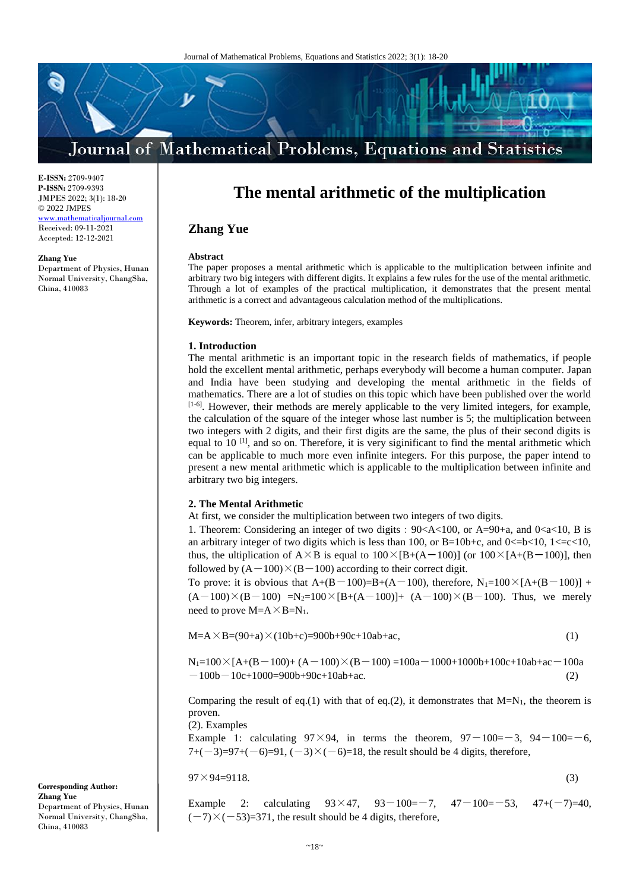

**E-ISSN:** 2709-9407 **P-ISSN:** 2709-9393 JMPES 2022; 3(1): 18-20 © 2022 JMPES <www.mathematicaljournal.com> Received: 09-11-2021 Accepted: 12-12-2021

#### **Zhang Yue**

Department of Physics, Hunan Normal University, ChangSha, China, 410083

# **The mental arithmetic of the multiplication**

## **Zhang Yue**

#### **Abstract**

The paper proposes a mental arithmetic which is applicable to the multiplication between infinite and arbitrary two big integers with different digits. It explains a few rules for the use of the mental arithmetic. Through a lot of examples of the practical multiplication, it demonstrates that the present mental arithmetic is a correct and advantageous calculation method of the multiplications.

**Keywords:** Theorem, infer, arbitrary integers, examples

#### **1. Introduction**

The mental arithmetic is an important topic in the research fields of mathematics, if people hold the excellent mental arithmetic, perhaps everybody will become a human computer. Japan and India have been studying and developing the mental arithmetic in the fields of mathematics. There are a lot of studies on this topic which have been published over the world  $[1-6]$ . However, their methods are merely applicable to the very limited integers, for example, the calculation of the square of the integer whose last number is 5; the multiplication between two integers with 2 digits, and their first digits are the same, the plus of their second digits is equal to 10  $\left[1\right]$ , and so on. Therefore, it is very siginificant to find the mental arithmetic which can be applicable to much more even infinite integers. For this purpose, the paper intend to present a new mental arithmetic which is applicable to the multiplication between infinite and arbitrary two big integers.

#### **2. The Mental Arithmetic**

At first, we consider the multiplication between two integers of two digits.

1. Theorem: Considering an integer of two digits:  $90 < A < 100$ , or  $A = 90 + a$ , and  $0 < a < 10$ , B is an arbitrary integer of two digits which is less than 100, or B=10b+c, and 0 $\lt$ =b $\lt$ 10, 1 $\lt$ =c $\lt$ 10, thus, the ultiplication of  $A \times B$  is equal to  $100 \times [B+(A-100)]$  (or  $100 \times [A+(B-100)]$ , then followed by  $(A-100) \times (B-100)$  according to their correct digit.

To prove: it is obvious that  $A+(B-100)=B+(A-100)$ , therefore,  $N_1=100\times[A+(B-100)]$  +  $(A-100)\times(B-100)$  =N<sub>2</sub>=100×[B+(A-100)]+ (A-100)×(B-100). Thus, we merely need to prove  $M=A \times B=N_1$ .

$$
M=A \times B = (90+a) \times (10b+c) = 900b+90c+10ab+ac,
$$
\n(1)

$$
N_1=100\times[A+(B-100)+(A-100)\times(B-100)=100a-1000+1000b+100c+10ab+ac-100a-100b-10c+1000=900b+90c+10ab+ac.
$$
\n(2)

Comparing the result of eq.(1) with that of eq.(2), it demonstrates that  $M=N_1$ , the theorem is proven.

(2). Examples

Example 1: calculating  $97 \times 94$ , in terms the theorem,  $97-100=-3$ ,  $94-100=-6$ , 7+(-3)=97+(-6)=91, (-3) $\times$ (-6)=18, the result should be 4 digits, therefore,

 $97 \times 94 = 9118.$  (3)

Example 2: calculating  $93 \times 47$ ,  $93-100=-7$ ,  $47-100=-53$ ,  $47+(-7)=40$ ,  $(-7)\times(-53)=371$ , the result should be 4 digits, therefore,

**Corresponding Author: Zhang Yue** Department of Physics, Hunan Normal University, ChangSha, China, 410083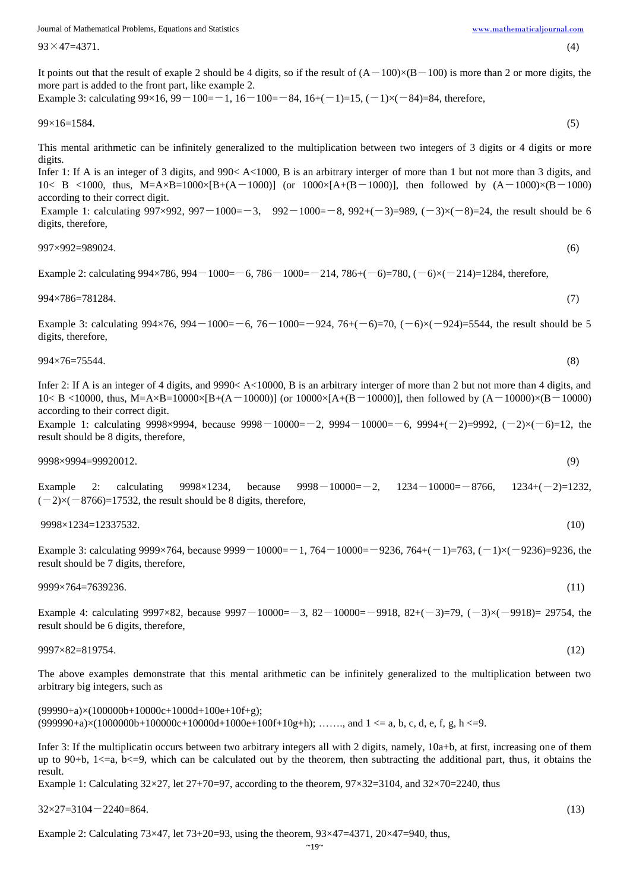Journal of Mathematical Problems, Equations and Statistics [www.mathematicaljournal.com](file://server/test/mathematicaljournal.com/issue/1%20Vol/1%20issue/www.mathematicaljournal.com)

 $93 \times 47 = 4371.$  (4)

It points out that the result of exaple 2 should be 4 digits, so if the result of  $(A-100)\times(B-100)$  is more than 2 or more digits, the more part is added to the front part, like example 2.

Example 3: calculating  $99\times16$ ,  $99-100=-1$ ,  $16-100=-84$ ,  $16+(-1)=15$ ,  $(-1)\times(-84)=84$ , therefore,

$$
99 \times 16 = 1584. \tag{5}
$$

This mental arithmetic can be infinitely generalized to the multiplication between two integers of 3 digits or 4 digits or more digits.

Infer 1: If A is an integer of 3 digits, and 990< A<1000, B is an arbitrary interger of more than 1 but not more than 3 digits, and 10< B <1000, thus, M=A×B=1000×[B+(A-1000)] (or 1000×[A+(B-1000)], then followed by  $(A-1000)\times(B-1000)$ according to their correct digit.

Example 1: calculating  $997\times992$ ,  $997-1000=-3$ ,  $992-1000=-8$ ,  $992+(-3)=989$ ,  $(-3)\times(-8)=24$ , the result should be 6 digits, therefore,

997×992=989024. (6)

Example 2: calculating  $994\times786$ ,  $994-1000=-6$ ,  $786-1000=-214$ ,  $786+(-6)=780$ ,  $(-6)\times(-214)=1284$ , therefore,

994×786=781284. (7)

Example 3: calculating  $994 \times 76$ ,  $994-1000=-6$ ,  $76-1000=-924$ ,  $76+(-6)=70$ ,  $(-6) \times (-924)=5544$ , the result should be 5 digits, therefore,

994×76=75544. (8)

Infer 2: If A is an integer of 4 digits, and 9990< A<10000, B is an arbitrary interger of more than 2 but not more than 4 digits, and 10< B <10000, thus, M=A×B=10000×[B+(A-10000)] (or 10000×[A+(B-10000)], then followed by (A-10000)×(B-10000) according to their correct digit.

Example 1: calculating 9998×9994, because  $9998-10000=-2$ ,  $9994-10000=-6$ ,  $9994+(-2)=9992$ ,  $(-2)\times(-6)=12$ , the result should be 8 digits, therefore,

9998×9994=99920012. (9)

Example 2: calculating  $9998 \times 1234$ , because  $9998-10000=-2$ ,  $1234-10000=-8766$ ,  $1234+(-2)=1232$ ,  $(-2)\times(-8766)=17532$ , the result should be 8 digits, therefore,

9998×1234=12337532. (10)

Example 3: calculating  $9999 \times 764$ , because  $9999 - 10000 = -1$ ,  $764 - 10000 = -9236$ ,  $764 + (-1) = 763$ ,  $(-1) \times (-9236) = 9236$ , the result should be 7 digits, therefore,

9999×764=7639236. (11)

Example 4: calculating 9997×82, because 9997 $-10000=-3$ , 82 $-10000=-9918$ , 82+( $-3$ )=79, ( $-3$ )×( $-9918$ )= 29754, the result should be 6 digits, therefore,

9997×82=819754. (12)

The above examples demonstrate that this mental arithmetic can be infinitely generalized to the multiplication between two arbitrary big integers, such as

 $(99990+a)\times(100000b+10000c+1000d+100e+10f+g);$  $(999990+a)\times(1000000b+100000c+10000d+1000e+100f+10g+h); \dots,$  and  $1 \le a, b, c, d, e, f, g, h \le 9$ .

Infer 3: If the multiplicatin occurs between two arbitrary integers all with 2 digits, namely, 10a+b, at first, increasing one of them up to 90+b,  $1 \le a$ ,  $b \le -9$ , which can be calculated out by the theorem, then subtracting the additional part, thus, it obtains the result.

Example 1: Calculating  $32\times27$ , let  $27+70=97$ , according to the theorem,  $97\times32=3104$ , and  $32\times70=2240$ , thus

 $32 \times 27 = 3104 - 2240 = 864.$  (13)

Example 2: Calculating  $73\times47$ , let  $73+20=93$ , using the theorem,  $93\times47=4371$ ,  $20\times47=940$ , thus,

$$
^{(4)}
$$